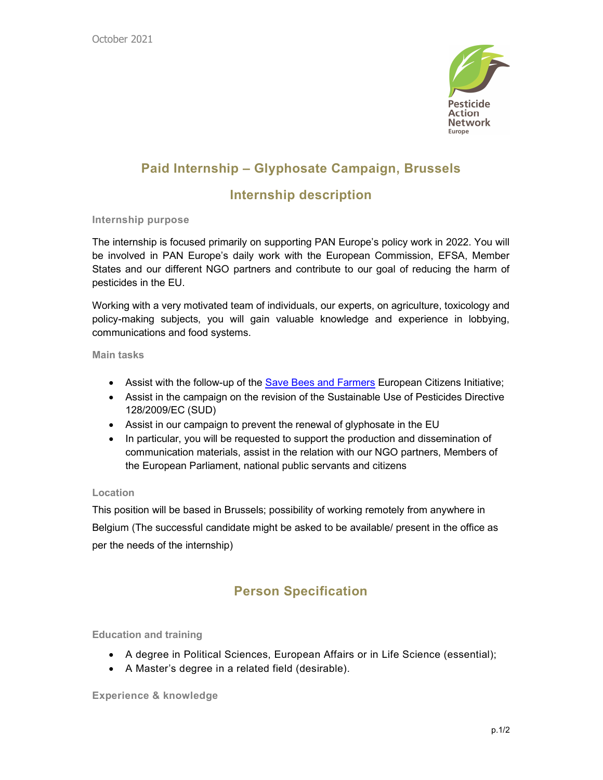

# Paid Internship – Glyphosate Campaign, Brussels

# Internship description

### Internship purpose

The internship is focused primarily on supporting PAN Europe's policy work in 2022. You will be involved in PAN Europe's daily work with the European Commission, EFSA, Member States and our different NGO partners and contribute to our goal of reducing the harm of pesticides in the EU.

Working with a very motivated team of individuals, our experts, on agriculture, toxicology and policy-making subjects, you will gain valuable knowledge and experience in lobbying, communications and food systems.

Main tasks

- Assist with the follow-up of the **Save Bees and Farmers European Citizens Initiative**;
- Assist in the campaign on the revision of the Sustainable Use of Pesticides Directive 128/2009/EC (SUD)
- Assist in our campaign to prevent the renewal of glyphosate in the EU
- In particular, you will be requested to support the production and dissemination of communication materials, assist in the relation with our NGO partners, Members of the European Parliament, national public servants and citizens

### Location

This position will be based in Brussels; possibility of working remotely from anywhere in Belgium (The successful candidate might be asked to be available/ present in the office as per the needs of the internship)

# Person Specification

Education and training

- A degree in Political Sciences, European Affairs or in Life Science (essential);
- A Master's degree in a related field (desirable).

Experience & knowledge